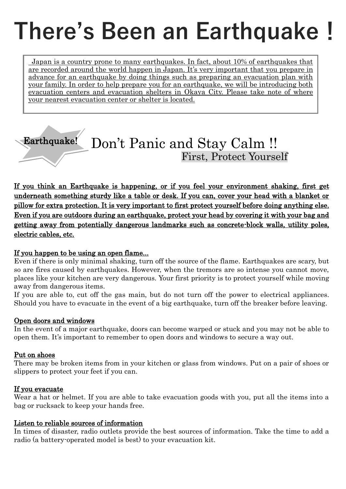## **There's Been an Earthquake!**

Japan is a country prone to many earthquakes. In fact, about 10% of earthquakes that are recorded around the world happen in Japan. It's very important that you prepare in advance for an earthquake by doing things such as preparing an evacuation plan with your family. In order to help prepare you for an earthquake, we will be introducing both evacuation centers and evacuation shelters in Okaya City. Please take note of where your nearest evacuation center or shelter is located.

## Earthquake! Don't Panic and Stay Calm !! First, Protect Yourself

If you think an Earthquake is happening, or if you feel your environment shaking, first get underneath something sturdy like a table or desk. If you can, cover your head with a blanket or pillow for extra protection. It is very important to first protect yourself before doing anything else. Even if you are outdoors during an earthquake, protect your head by covering it with your bag and getting away from potentially dangerous landmarks such as concrete-block walls, utility poles, electric cables, etc.

#### If you happen to be using an open flame...

Even if there is only minimal shaking, turn off the source of the flame. Earthquakes are scary, but so are fires caused by earthquakes. However, when the tremors are so intense you cannot move, places like your kitchen are very dangerous. Your first priority is to protect yourself while moving away from dangerous items.

If you are able to, cut off the gas main, but do not turn off the power to electrical appliances. Should you have to evacuate in the event of a big earthquake, turn off the breaker before leaving.

#### Open doors and windows

In the event of a major earthquake, doors can become warped or stuck and you may not be able to open them. It's important to remember to open doors and windows to secure a way out.

#### Put on shoes

There may be broken items from in your kitchen or glass from windows. Put on a pair of shoes or slippers to protect your feet if you can.

#### If you evacuate

Wear a hat or helmet. If you are able to take evacuation goods with you, put all the items into a bag or rucksack to keep your hands free.

#### Listen to reliable sources of information

In times of disaster, radio outlets provide the best sources of information. Take the time to add a radio (a battery-operated model is best) to your evacuation kit.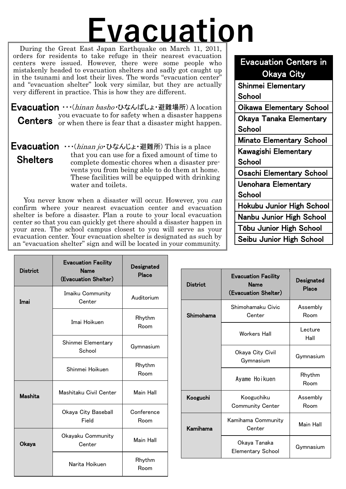# **Evacuation**

ation shelters and sadly got caught up<br>
r lives. The words "evacuation center"<br>
k very similar, but they are actually<br>
is is how they are different. During the Great East Japan Earthquake on March 11, 2011, orders for residents to take refuge in their nearest evacuation centers were issued. However, there were some people who mistakenly headed to evacuation shelters and sadly got caught up in the tsunami and lost their lives. The words "evacuation center" and "evacuation shelter" look very similar, but they are actually very different in practice. This is how they are different.

Evacuation ··· (hinan basho·ひなんばしょ・避難場所) A location you evacuate to for safety when a disaster happens **Centers** or when there is fear that a disaster might happen.

Evacuation ···(hinan jo·ひなんじょ・避難所) This is a place that you can use for a fixed amount of time to complete domestic chores when a disaster pre vents you from being able to do them at home. These facilities will be equipped with drinking water and toilets. **Shelters** 

You never know when a disaster will occur. However, you *can* confirm where your nearest evacuation center and evacuation shelter is before a disaster. Plan a route to your local evacuation center so that you can quickly get there should a disaster happen in your area. The school campus closest to you will serve as your evacuation center. Your evacuation shelter is designated as such by an "evacuation shelter" sign and will be located in your community.

### Evacuation Centers in Okaya City Shinmei Elementary **School**

Oikawa Elementary School

Okaya Tanaka Elementary **School** Minato Elementary School

Kawagishi Elementary **School** 

Osachi Elementary School

Uenohara Elementary **School** 

Hokubu Junior High School

Nanbu Junior High School

Tōbu Junior High School

Seibu Junior High School

|                 | <b>Evacuation Facility</b><br><b>Name</b><br>(Evacuation Shelter) | Designated<br>Place |                 |                                                                   |                     |
|-----------------|-------------------------------------------------------------------|---------------------|-----------------|-------------------------------------------------------------------|---------------------|
| <b>District</b> |                                                                   |                     | <b>District</b> | <b>Evacuation Facility</b><br><b>Name</b><br>(Evacuation Shelter) | Designated<br>Place |
| Imai            | Imaiku Community                                                  | Auditorium          |                 |                                                                   |                     |
|                 | Center                                                            |                     |                 | Shimohamaku Civic                                                 | Assembly            |
|                 | Imai Hoikuen                                                      | Rhythm              | Shimohama       | Center                                                            | Room                |
|                 |                                                                   | Room                |                 | Workers Hall                                                      | Lecture<br>Hall     |
|                 | Shinmei Elementary<br>School                                      | Gymnasium           |                 | Okaya City Civil                                                  | Gymnasium           |
|                 |                                                                   | Rhythm              |                 | Gymnasium                                                         |                     |
|                 | Shinmei Hoikuen                                                   | Room                |                 | Ayame Hoikuen                                                     | Rhythm<br>Room      |
| <b>Mashita</b>  | Mashitaku Civil Center<br>Main Hall                               |                     | Kooguchi        | Kooguchiku<br><b>Community Center</b>                             | Assembly<br>Room    |
|                 | Okaya City Baseball                                               | Conference          |                 |                                                                   |                     |
|                 | Field                                                             | Room                | Kamihama        | Kamihama Community<br>Center                                      | Main Hall           |
| Okaya           | Okayaku Community<br>Center                                       | Main Hall           |                 | Okaya Tanaka<br><b>Elementary School</b>                          | Gymnasium           |
|                 | Narita Hoikuen                                                    | Rhythm<br>Room      |                 |                                                                   |                     |